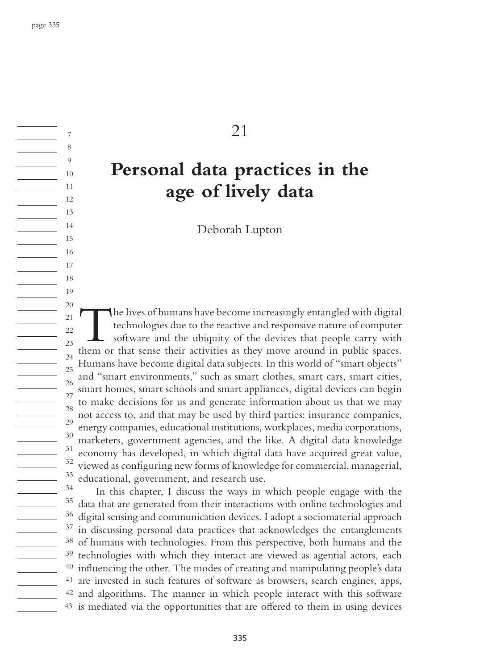21

# **Personal data practices in the age of lively data**

Deborah Lupton

The lives of humans have become increasingly entangled with digital technologies due to the reactive and responsive nature of computer software and the ubiquity of the devices that people carry with them or that sense their activities as they move around in public spaces. Humans have become digital data subjects. In this world of "smart objects" and "smart environments," such as smart clothes, smart cars, smart cities, smart homes, smart schools and smart appliances, digital devices can begin to make decisions for us and generate information about us that we may not access to, and that may be used by third parties: insurance companies, energy companies, educational institutions, workplaces, media corporations, marketers, government agencies, and the like. A digital data knowledge economy has developed, in which digital data have acquired great value, viewed as configuring new forms of knowledge for commercial, managerial, educational, government, and research use. 21 22 23 24 25 26 27 28 29 30 31 32 33

In this chapter, I discuss the ways in which people engage with the data that are generated from their interactions with online technologies and digital sensing and communication devices. I adopt a sociomaterial approach  $37$  in discussing personal data practices that acknowledges the entanglements <sup>38</sup> of humans with technologies. From this perspective, both humans and the <sup>39</sup> technologies with which they interact are viewed as agential actors, each  $40$  influencing the other. The modes of creating and manipulating people's data <sup>41</sup> are invested in such features of software as browsers, search engines, apps, 42 and algorithms. The manner in which people interact with this software 43 is mediated via the opportunities that are offered to them in using devices 34 35 36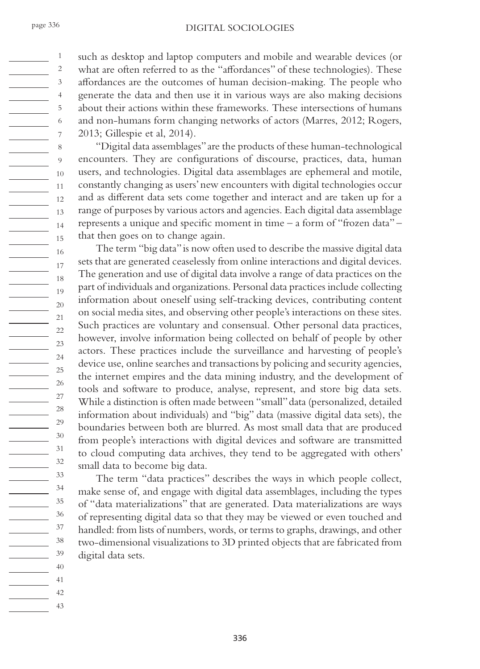#### DIGITAL SOCIOLOGIES

page 336

 $\frac{34}{1}$ 

36 37 38  $\frac{39}{2}$ 

41

35

40

42 43

such as desktop and laptop computers and mobile and wearable devices (or what are often referred to as the "afordances" of these technologies). These afordances are the outcomes of human decision-making. The people who generate the data and then use it in various ways are also making decisions about their actions within these frameworks. These intersections of humans and non-humans form changing networks of actors (Marres, 2012; Rogers, 2013; Gillespie et al, 2014).

"Digital data assemblages" are the products of these human-technological encounters. They are configurations of discourse, practices, data, human users, and technologies. Digital data assemblages are ephemeral and motile, constantly changing as users' new encounters with digital technologies occur and as diferent data sets come together and interact and are taken up for a range of purposes by various actors and agencies. Each digital data assemblage represents a unique and specific moment in time – a form of "frozen data" – that then goes on to change again.

The term "big data" is now often used to describe the massive digital data sets that are generated ceaselessly from online interactions and digital devices. The generation and use of digital data involve a range of data practices on the part of individuals and organizations. Personal data practices include collecting information about oneself using self-tracking devices, contributing content on social media sites, and observing other people's interactions on these sites. Such practices are voluntary and consensual. Other personal data practices, however, involve information being collected on behalf of people by other actors. These practices include the surveillance and harvesting of people's device use, online searches and transactions by policing and security agencies, the internet empires and the data mining industry, and the development of tools and software to produce, analyse, represent, and store big data sets. While a distinction is often made between "small" data (personalized, detailed information about individuals) and "big" data (massive digital data sets), the boundaries between both are blurred. As most small data that are produced from people's interactions with digital devices and software are transmitted to cloud computing data archives, they tend to be aggregated with others' small data to become big data.

The term "data practices" describes the ways in which people collect, make sense of, and engage with digital data assemblages, including the types of "data materializations" that are generated. Data materializations are ways of representing digital data so that they may be viewed or even touched and handled: from lists of numbers, words, or terms to graphs, drawings, and other two-dimensional visualizations to 3D printed objects that are fabricated from digital data sets.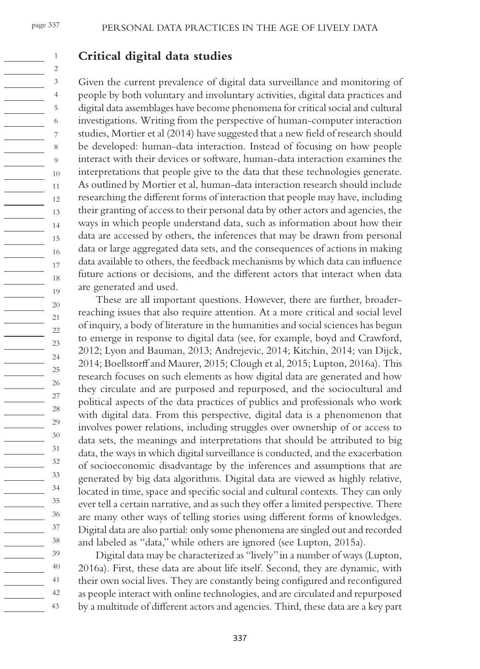$\frac{39}{2}$ 

## **Critical digital data studies**

Given the current prevalence of digital data surveillance and monitoring of people by both voluntary and involuntary activities, digital data practices and digital data assemblages have become phenomena for critical social and cultural investigations. Writing from the perspective of human-computer interaction studies, Mortier et al (2014) have suggested that a new field of research should be developed: human-data interaction. Instead of focusing on how people interact with their devices or software, human-data interaction examines the interpretations that people give to the data that these technologies generate. As outlined by Mortier et al, human-data interaction research should include researching the diferent forms of interaction that people may have, including their granting of access to their personal data by other actors and agencies, the ways in which people understand data, such as information about how their data are accessed by others, the inferences that may be drawn from personal data or large aggregated data sets, and the consequences of actions in making data available to others, the feedback mechanisms by which data can influence future actions or decisions, and the diferent actors that interact when data are generated and used.

These are all important questions. However, there are further, broaderreaching issues that also require attention. At a more critical and social level of inquiry, a body of literature in the humanities and social sciences has begun to emerge in response to digital data (see, for example, boyd and Crawford, 2012; Lyon and Bauman, 2013; Andrejevic, 2014; Kitchin, 2014; van Dijck, 2014; Boellstorf and Maurer, 2015; Clough et al, 2015; Lupton, 2016a). This research focuses on such elements as how digital data are generated and how they circulate and are purposed and repurposed, and the sociocultural and political aspects of the data practices of publics and professionals who work with digital data. From this perspective, digital data is a phenomenon that involves power relations, including struggles over ownership of or access to data sets, the meanings and interpretations that should be attributed to big data, the ways in which digital surveillance is conducted, and the exacerbation of socioeconomic disadvantage by the inferences and assumptions that are generated by big data algorithms. Digital data are viewed as highly relative, located in time, space and specific social and cultural contexts. They can only ever tell a certain narrative, and as such they offer a limited perspective. There are many other ways of telling stories using diferent forms of knowledges. Digital data are also partial: only some phenomena are singled out and recorded and labeled as "data," while others are ignored (see Lupton, 2015a).

Digital data may be characterized as "lively" in a number of ways (Lupton, 2016a). First, these data are about life itself. Second, they are dynamic, with their own social lives. They are constantly being configured and reconfigured as people interact with online technologies, and are circulated and repurposed by a multitude of diferent actors and agencies. Third, these data are a key part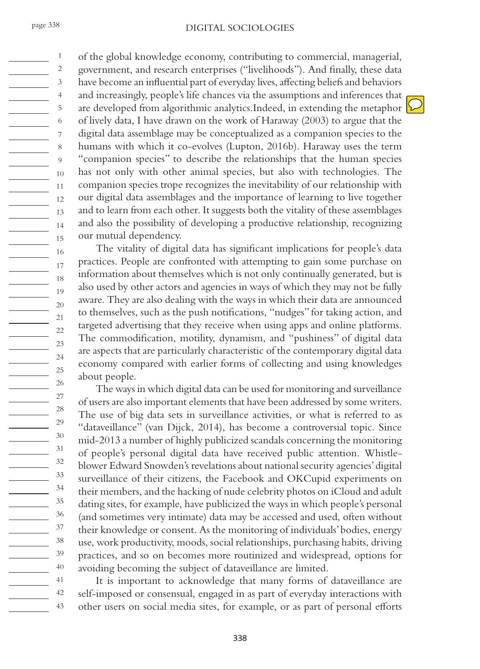$\frac{34}{1}$ 

 $\frac{36}{2}$ 37  $\frac{38}{\sqrt{3}}$  $\frac{39}{2}$ 

35

of the global knowledge economy, contributing to commercial, managerial, government, and research enterprises ("livelihoods"). And finally, these data have become an influential part of everyday lives, afecting beliefs and behaviors and increasingly, people's life chances via the assumptions and inferences that are developed from algorithmic analytics. Indeed, in extending the metaphor  $\sum$ of lively data, I have drawn on the work of Haraway (2003) to argue that the digital data assemblage may be conceptualized as a companion species to the humans with which it co-evolves (Lupton, 2016b). Haraway uses the term "companion species" to describe the relationships that the human species has not only with other animal species, but also with technologies. The companion species trope recognizes the inevitability of our relationship with our digital data assemblages and the importance of learning to live together and to learn from each other. It suggests both the vitality of these assemblages and also the possibility of developing a productive relationship, recognizing our mutual dependency.

The vitality of digital data has significant implications for people's data practices. People are confronted with attempting to gain some purchase on information about themselves which is not only continually generated, but is also used by other actors and agencies in ways of which they may not be fully aware. They are also dealing with the ways in which their data are announced to themselves, such as the push notifications, "nudges" for taking action, and targeted advertising that they receive when using apps and online platforms. The commodification, motility, dynamism, and "pushiness" of digital data are aspects that are particularly characteristic of the contemporary digital data economy compared with earlier forms of collecting and using knowledges about people.

The ways in which digital data can be used for monitoring and surveillance of users are also important elements that have been addressed by some writers. The use of big data sets in surveillance activities, or what is referred to as "dataveillance" (van Dijck, 2014), has become a controversial topic. Since mid-2013 a number of highly publicized scandals concerning the monitoring of people's personal digital data have received public attention. Whistleblower Edward Snowden's revelations about national security agencies' digital surveillance of their citizens, the Facebook and OKCupid experiments on their members, and the hacking of nude celebrity photos on iCloud and adult dating sites, for example, have publicized the ways in which people's personal (and sometimes very intimate) data may be accessed and used, often without their knowledge or consent. As the monitoring of individuals' bodies, energy use, work productivity, moods, social relationships, purchasing habits, driving practices, and so on becomes more routinized and widespread, options for avoiding becoming the subject of dataveillance are limited.

It is important to acknowledge that many forms of dataveillance are self-imposed or consensual, engaged in as part of everyday interactions with other users on social media sites, for example, or as part of personal eforts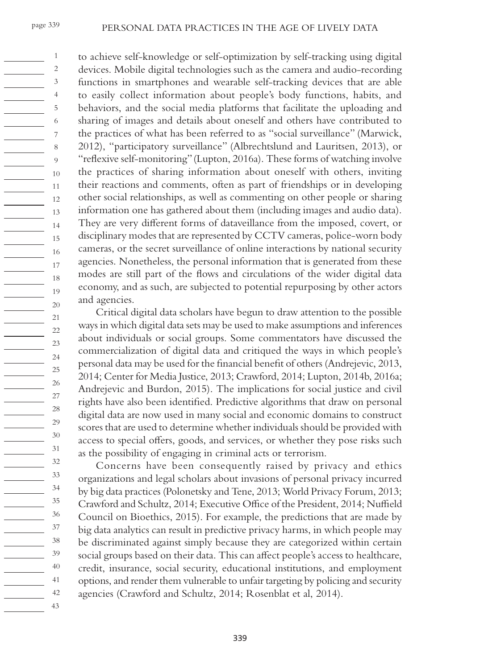to achieve self-knowledge or self-optimization by self-tracking using digital devices. Mobile digital technologies such as the camera and audio-recording functions in smartphones and wearable self-tracking devices that are able to easily collect information about people's body functions, habits, and behaviors, and the social media platforms that facilitate the uploading and sharing of images and details about oneself and others have contributed to the practices of what has been referred to as "social surveillance" (Marwick, 2012), "participatory surveillance" (Albrechtslund and Lauritsen, 2013), or "reflexive self-monitoring" (Lupton, 2016a). These forms of watching involve the practices of sharing information about oneself with others, inviting their reactions and comments, often as part of friendships or in developing other social relationships, as well as commenting on other people or sharing information one has gathered about them (including images and audio data). They are very diferent forms of dataveillance from the imposed, covert, or disciplinary modes that are represented by CCTV cameras, police-worn body cameras, or the secret surveillance of online interactions by national security agencies. Nonetheless, the personal information that is generated from these modes are still part of the flows and circulations of the wider digital data economy, and as such, are subjected to potential repurposing by other actors and agencies.

Critical digital data scholars have begun to draw attention to the possible ways in which digital data sets may be used to make assumptions and inferences about individuals or social groups. Some commentators have discussed the commercialization of digital data and critiqued the ways in which people's personal data may be used for the financial benefit of others (Andrejevic, 2013, 2014; Center for Media Justice, 2013; Crawford, 2014; Lupton, 2014b, 2016a; Andrejevic and Burdon, 2015). The implications for social justice and civil rights have also been identified. Predictive algorithms that draw on personal digital data are now used in many social and economic domains to construct scores that are used to determine whether individuals should be provided with access to special offers, goods, and services, or whether they pose risks such as the possibility of engaging in criminal acts or terrorism.

Concerns have been consequently raised by privacy and ethics organizations and legal scholars about invasions of personal privacy incurred by big data practices (Polonetsky and Tene, 2013; World Privacy Forum, 2013; Crawford and Schultz, 2014; Executive Office of the President, 2014; Nuffield Council on Bioethics, 2015). For example, the predictions that are made by big data analytics can result in predictive privacy harms, in which people may be discriminated against simply because they are categorized within certain social groups based on their data. This can afect people's access to healthcare, credit, insurance, social security, educational institutions, and employment options, and render them vulnerable to unfair targeting by policing and security agencies (Crawford and Schultz, 2014; Rosenblat et al, 2014).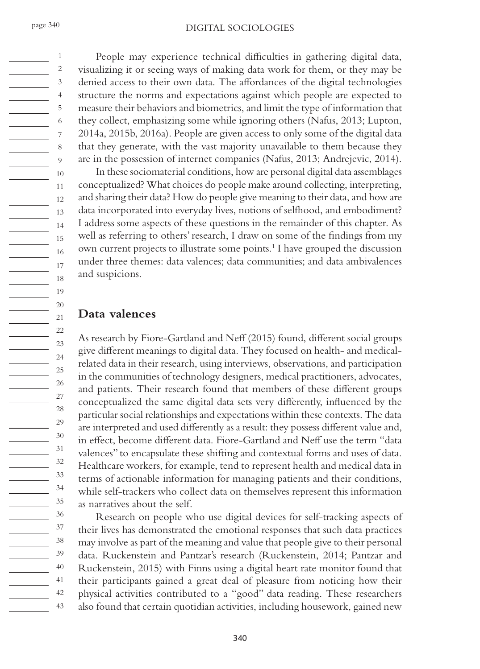People may experience technical difficulties in gathering digital data, visualizing it or seeing ways of making data work for them, or they may be denied access to their own data. The afordances of the digital technologies structure the norms and expectations against which people are expected to measure their behaviors and biometrics, and limit the type of information that they collect, emphasizing some while ignoring others (Nafus, 2013; Lupton, 2014a, 2015b, 2016a). People are given access to only some of the digital data that they generate, with the vast majority unavailable to them because they are in the possession of internet companies (Nafus, 2013; Andrejevic, 2014).

In these sociomaterial conditions, how are personal digital data assemblages conceptualized? What choices do people make around collecting, interpreting, and sharing their data? How do people give meaning to their data, and how are data incorporated into everyday lives, notions of selfhood, and embodiment? I address some aspects of these questions in the remainder of this chapter. As well as referring to others' research, I draw on some of the findings from my own current projects to illustrate some points.<sup>1</sup> I have grouped the discussion under three themes: data valences; data communities; and data ambivalences and suspicions.

# **Data valences**

As research by Fiore-Gartland and Neff (2015) found, different social groups give diferent meanings to digital data. They focused on health- and medicalrelated data in their research, using interviews, observations, and participation in the communities of technology designers, medical practitioners, advocates, and patients. Their research found that members of these diferent groups conceptualized the same digital data sets very diferently, influenced by the particular social relationships and expectations within these contexts. The data are interpreted and used diferently as a result: they possess diferent value and, in effect, become different data. Fiore-Gartland and Neff use the term "data valences" to encapsulate these shifting and contextual forms and uses of data. Healthcare workers, for example, tend to represent health and medical data in terms of actionable information for managing patients and their conditions, while self-trackers who collect data on themselves represent this information as narratives about the self.

Research on people who use digital devices for self-tracking aspects of their lives has demonstrated the emotional responses that such data practices may involve as part of the meaning and value that people give to their personal data. Ruckenstein and Pantzar's research (Ruckenstein, 2014; Pantzar and Ruckenstein, 2015) with Finns using a digital heart rate monitor found that their participants gained a great deal of pleasure from noticing how their physical activities contributed to a "good" data reading. These researchers also found that certain quotidian activities, including housework, gained new

 $\frac{34}{1}$ 

36 37  $\frac{38}{\sqrt{25}}$  $\frac{39}{2}$ 

35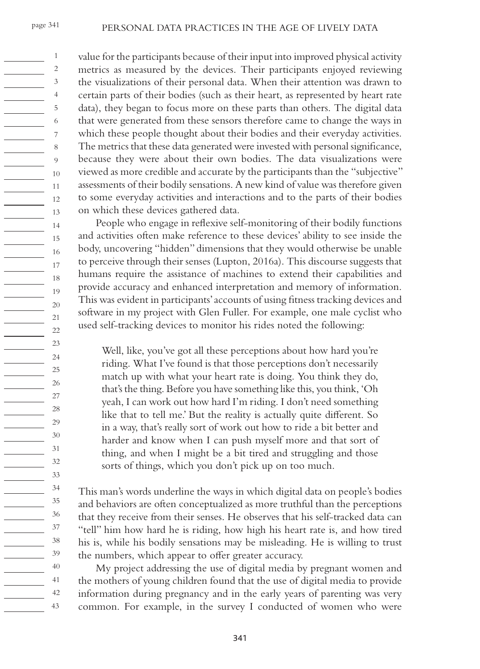value for the participants because of their input into improved physical activity metrics as measured by the devices. Their participants enjoyed reviewing the visualizations of their personal data. When their attention was drawn to certain parts of their bodies (such as their heart, as represented by heart rate data), they began to focus more on these parts than others. The digital data that were generated from these sensors therefore came to change the ways in which these people thought about their bodies and their everyday activities. The metrics that these data generated were invested with personal significance, because they were about their own bodies. The data visualizations were viewed as more credible and accurate by the participants than the "subjective" assessments of their bodily sensations. A new kind of value was therefore given to some everyday activities and interactions and to the parts of their bodies on which these devices gathered data.

People who engage in reflexive self-monitoring of their bodily functions and activities often make reference to these devices' ability to see inside the body, uncovering "hidden" dimensions that they would otherwise be unable to perceive through their senses (Lupton, 2016a). This discourse suggests that humans require the assistance of machines to extend their capabilities and provide accuracy and enhanced interpretation and memory of information. This was evident in participants' accounts of using fitness tracking devices and software in my project with Glen Fuller. For example, one male cyclist who used self-tracking devices to monitor his rides noted the following:

Well, like, you've got all these perceptions about how hard you're riding. What I've found is that those perceptions don't necessarily match up with what your heart rate is doing. You think they do, that's the thing. Before you have something like this, you think, 'Oh yeah, I can work out how hard I'm riding. I don't need something like that to tell me.' But the reality is actually quite diferent. So in a way, that's really sort of work out how to ride a bit better and harder and know when I can push myself more and that sort of thing, and when I might be a bit tired and struggling and those sorts of things, which you don't pick up on too much.

This man's words underline the ways in which digital data on people's bodies and behaviors are often conceptualized as more truthful than the perceptions that they receive from their senses. He observes that his self-tracked data can "tell" him how hard he is riding, how high his heart rate is, and how tired his is, while his bodily sensations may be misleading. He is willing to trust the numbers, which appear to offer greater accuracy.

My project addressing the use of digital media by pregnant women and the mothers of young children found that the use of digital media to provide information during pregnancy and in the early years of parenting was very common. For example, in the survey I conducted of women who were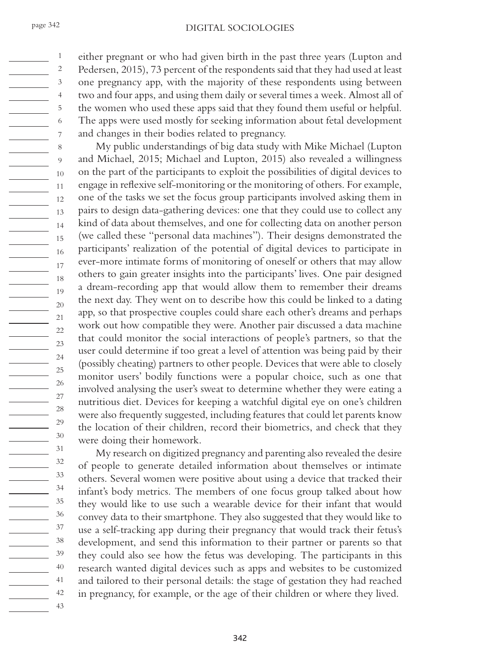#### DIGITAL SOCIOLOGIES

either pregnant or who had given birth in the past three years (Lupton and Pedersen, 2015), 73 percent of the respondents said that they had used at least one pregnancy app, with the majority of these respondents using between two and four apps, and using them daily or several times a week. Almost all of the women who used these apps said that they found them useful or helpful. The apps were used mostly for seeking information about fetal development and changes in their bodies related to pregnancy.

My public understandings of big data study with Mike Michael (Lupton and Michael, 2015; Michael and Lupton, 2015) also revealed a willingness on the part of the participants to exploit the possibilities of digital devices to engage in reflexive self-monitoring or the monitoring of others. For example, one of the tasks we set the focus group participants involved asking them in pairs to design data-gathering devices: one that they could use to collect any kind of data about themselves, and one for collecting data on another person (we called these "personal data machines"). Their designs demonstrated the participants' realization of the potential of digital devices to participate in ever-more intimate forms of monitoring of oneself or others that may allow others to gain greater insights into the participants' lives. One pair designed a dream-recording app that would allow them to remember their dreams the next day. They went on to describe how this could be linked to a dating app, so that prospective couples could share each other's dreams and perhaps work out how compatible they were. Another pair discussed a data machine that could monitor the social interactions of people's partners, so that the user could determine if too great a level of attention was being paid by their (possibly cheating) partners to other people. Devices that were able to closely monitor users' bodily functions were a popular choice, such as one that involved analysing the user's sweat to determine whether they were eating a nutritious diet. Devices for keeping a watchful digital eye on one's children were also frequently suggested, including features that could let parents know the location of their children, record their biometrics, and check that they were doing their homework.

My research on digitized pregnancy and parenting also revealed the desire of people to generate detailed information about themselves or intimate others. Several women were positive about using a device that tracked their infant's body metrics. The members of one focus group talked about how they would like to use such a wearable device for their infant that would convey data to their smartphone. They also suggested that they would like to use a self-tracking app during their pregnancy that would track their fetus's development, and send this information to their partner or parents so that they could also see how the fetus was developing. The participants in this research wanted digital devices such as apps and websites to be customized and tailored to their personal details: the stage of gestation they had reached in pregnancy, for example, or the age of their children or where they lived.

 $\frac{38}{\sqrt{3}}$  $\frac{39}{2}$ 

 $\mathcal{L}^{\text{max}}_{\text{max}}$  , and  $\mathcal{L}^{\text{max}}_{\text{max}}$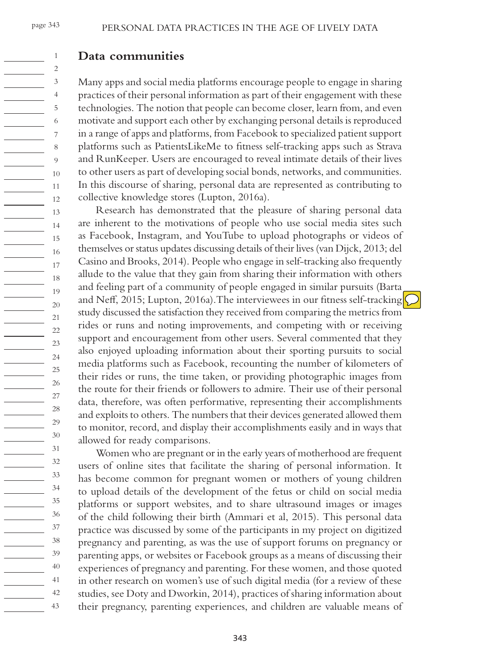<u> 1999 - John Barnett, f</u>

## **Data communities**

Many apps and social media platforms encourage people to engage in sharing practices of their personal information as part of their engagement with these technologies. The notion that people can become closer, learn from, and even motivate and support each other by exchanging personal details is reproduced in a range of apps and platforms, from Facebook to specialized patient support platforms such as PatientsLikeMe to fitness self-tracking apps such as Strava and RunKeeper. Users are encouraged to reveal intimate details of their lives to other users as part of developing social bonds, networks, and communities. In this discourse of sharing, personal data are represented as contributing to collective knowledge stores (Lupton, 2016a).

Research has demonstrated that the pleasure of sharing personal data are inherent to the motivations of people who use social media sites such as Facebook, Instagram, and YouTube to upload photographs or videos of themselves or status updates discussing details of their lives (van Dijck, 2013; del Casino and Brooks, 2014). People who engage in self-tracking also frequently allude to the value that they gain from sharing their information with others and feeling part of a community of people engaged in similar pursuits (Barta and Neff, 2015; Lupton, 2016a). The interviewees in our fitness self-tracking  $\bigcirc$ study discussed the satisfaction they received from comparing the metrics from rides or runs and noting improvements, and competing with or receiving support and encouragement from other users. Several commented that they also enjoyed uploading information about their sporting pursuits to social media platforms such as Facebook, recounting the number of kilometers of their rides or runs, the time taken, or providing photographic images from the route for their friends or followers to admire. Their use of their personal data, therefore, was often performative, representing their accomplishments and exploits to others. The numbers that their devices generated allowed them to monitor, record, and display their accomplishments easily and in ways that allowed for ready comparisons.

Women who are pregnant or in the early years of motherhood are frequent users of online sites that facilitate the sharing of personal information. It has become common for pregnant women or mothers of young children to upload details of the development of the fetus or child on social media platforms or support websites, and to share ultrasound images or images of the child following their birth (Ammari et al, 2015). This personal data practice was discussed by some of the participants in my project on digitized pregnancy and parenting, as was the use of support forums on pregnancy or parenting apps, or websites or Facebook groups as a means of discussing their experiences of pregnancy and parenting. For these women, and those quoted in other research on women's use of such digital media (for a review of these studies, see Doty and Dworkin, 2014), practices of sharing information about their pregnancy, parenting experiences, and children are valuable means of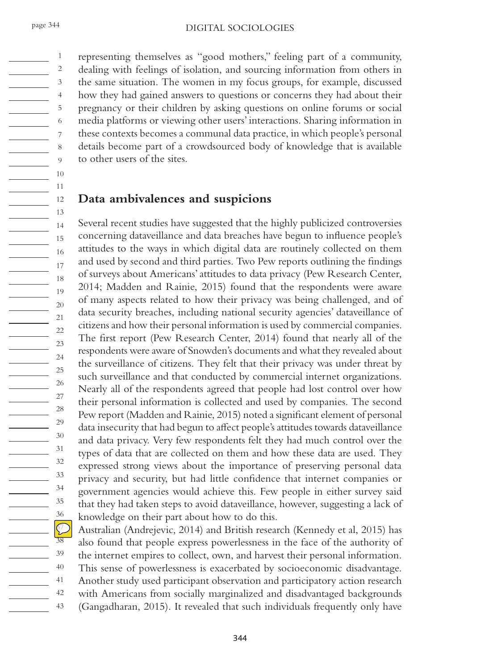38

39

 $\overline{\phantom{a}}$ 

representing themselves as "good mothers," feeling part of a community, dealing with feelings of isolation, and sourcing information from others in the same situation. The women in my focus groups, for example, discussed how they had gained answers to questions or concerns they had about their pregnancy or their children by asking questions on online forums or social media platforms or viewing other users' interactions. Sharing information in these contexts becomes a communal data practice, in which people's personal details become part of a crowdsourced body of knowledge that is available to other users of the sites.

# **Data ambivalences and suspicions**

Several recent studies have suggested that the highly publicized controversies concerning dataveillance and data breaches have begun to influence people's attitudes to the ways in which digital data are routinely collected on them and used by second and third parties. Two Pew reports outlining the findings of surveys about Americans' attitudes to data privacy (Pew Research Center, 2014; Madden and Rainie, 2015) found that the respondents were aware of many aspects related to how their privacy was being challenged, and of data security breaches, including national security agencies' dataveillance of citizens and how their personal information is used by commercial companies. The first report (Pew Research Center, 2014) found that nearly all of the respondents were aware of Snowden's documents and what they revealed about the surveillance of citizens. They felt that their privacy was under threat by such surveillance and that conducted by commercial internet organizations. Nearly all of the respondents agreed that people had lost control over how their personal information is collected and used by companies. The second Pew report (Madden and Rainie, 2015) noted a significant element of personal data insecurity that had begun to affect people's attitudes towards dataveillance and data privacy. Very few respondents felt they had much control over the types of data that are collected on them and how these data are used. They expressed strong views about the importance of preserving personal data privacy and security, but had little confidence that internet companies or government agencies would achieve this. Few people in either survey said that they had taken steps to avoid dataveillance, however, suggesting a lack of knowledge on their part about how to do this. **15** 

Australian (Andrejevic, 2014) and British research (Kennedy et al, 2015) has also found that people express powerlessness in the face of the authority of the internet empires to collect, own, and harvest their personal information. This sense of powerlessness is exacerbated by socioeconomic disadvantage. Another study used participant observation and participatory action research with Americans from socially marginalized and disadvantaged backgrounds (Gangadharan, 2015). It revealed that such individuals frequently only have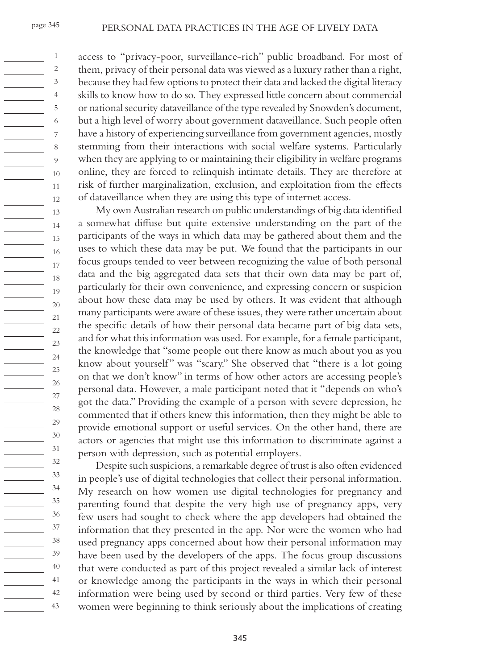<u> 1999 - John Barnett, f</u>

access to "privacy-poor, surveillance-rich" public broadband. For most of them, privacy of their personal data was viewed as a luxury rather than a right, because they had few options to protect their data and lacked the digital literacy skills to know how to do so. They expressed little concern about commercial or national security dataveillance of the type revealed by Snowden's document, but a high level of worry about government dataveillance. Such people often have a history of experiencing surveillance from government agencies, mostly stemming from their interactions with social welfare systems. Particularly when they are applying to or maintaining their eligibility in welfare programs online, they are forced to relinquish intimate details. They are therefore at risk of further marginalization, exclusion, and exploitation from the efects of dataveillance when they are using this type of internet access.

My own Australian research on public understandings of big data identified a somewhat difuse but quite extensive understanding on the part of the participants of the ways in which data may be gathered about them and the uses to which these data may be put. We found that the participants in our focus groups tended to veer between recognizing the value of both personal data and the big aggregated data sets that their own data may be part of, particularly for their own convenience, and expressing concern or suspicion about how these data may be used by others. It was evident that although many participants were aware of these issues, they were rather uncertain about the specific details of how their personal data became part of big data sets, and for what this information was used. For example, for a female participant, the knowledge that "some people out there know as much about you as you know about yourself" was "scary." She observed that "there is a lot going on that we don't know" in terms of how other actors are accessing people's personal data. However, a male participant noted that it "depends on who's got the data." Providing the example of a person with severe depression, he commented that if others knew this information, then they might be able to provide emotional support or useful services. On the other hand, there are actors or agencies that might use this information to discriminate against a person with depression, such as potential employers.

Despite such suspicions, a remarkable degree of trust is also often evidenced in people's use of digital technologies that collect their personal information. My research on how women use digital technologies for pregnancy and parenting found that despite the very high use of pregnancy apps, very few users had sought to check where the app developers had obtained the information that they presented in the app. Nor were the women who had used pregnancy apps concerned about how their personal information may have been used by the developers of the apps. The focus group discussions that were conducted as part of this project revealed a similar lack of interest or knowledge among the participants in the ways in which their personal information were being used by second or third parties. Very few of these women were beginning to think seriously about the implications of creating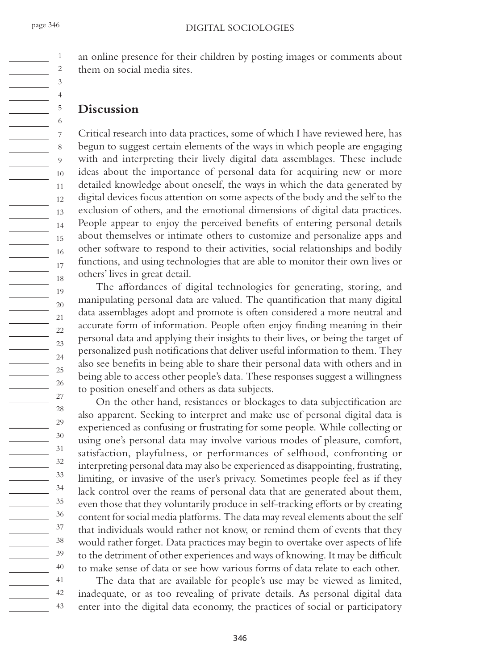$\frac{23}{2}$ 

 $\label{eq:2} \begin{split} \mathcal{L}_{\text{max}}(\mathcal{L}_{\text{max}}) = \mathcal{L}_{\text{max}}(\mathcal{L}_{\text{max}}) \end{split}$ 

 $\frac{25}{25}$ 

 $\overline{\phantom{a}}$ 

 $\frac{34}{1}$ 

<u>2006</u> 36 37 38  $\frac{39}{2}$  $\frac{40}{\sqrt{11}}$  $\frac{41}{2}$ 

24

35

42 43

an online presence for their children by posting images or comments about them on social media sites.

# **Discussion**

Critical research into data practices, some of which I have reviewed here, has begun to suggest certain elements of the ways in which people are engaging with and interpreting their lively digital data assemblages. These include ideas about the importance of personal data for acquiring new or more detailed knowledge about oneself, the ways in which the data generated by digital devices focus attention on some aspects of the body and the self to the exclusion of others, and the emotional dimensions of digital data practices. People appear to enjoy the perceived benefits of entering personal details about themselves or intimate others to customize and personalize apps and other software to respond to their activities, social relationships and bodily functions, and using technologies that are able to monitor their own lives or others' lives in great detail.

The afordances of digital technologies for generating, storing, and manipulating personal data are valued. The quantification that many digital data assemblages adopt and promote is often considered a more neutral and accurate form of information. People often enjoy finding meaning in their personal data and applying their insights to their lives, or being the target of personalized push notifications that deliver useful information to them. They also see benefits in being able to share their personal data with others and in being able to access other people's data. These responses suggest a willingness to position oneself and others as data subjects.

On the other hand, resistances or blockages to data subjectification are also apparent. Seeking to interpret and make use of personal digital data is experienced as confusing or frustrating for some people. While collecting or using one's personal data may involve various modes of pleasure, comfort, satisfaction, playfulness, or performances of selfhood, confronting or interpreting personal data may also be experienced as disappointing, frustrating, limiting, or invasive of the user's privacy. Sometimes people feel as if they lack control over the reams of personal data that are generated about them, even those that they voluntarily produce in self-tracking eforts or by creating content for social media platforms. The data may reveal elements about the self that individuals would rather not know, or remind them of events that they would rather forget. Data practices may begin to overtake over aspects of life to the detriment of other experiences and ways of knowing. It may be difficult to make sense of data or see how various forms of data relate to each other.

The data that are available for people's use may be viewed as limited, inadequate, or as too revealing of private details. As personal digital data enter into the digital data economy, the practices of social or participatory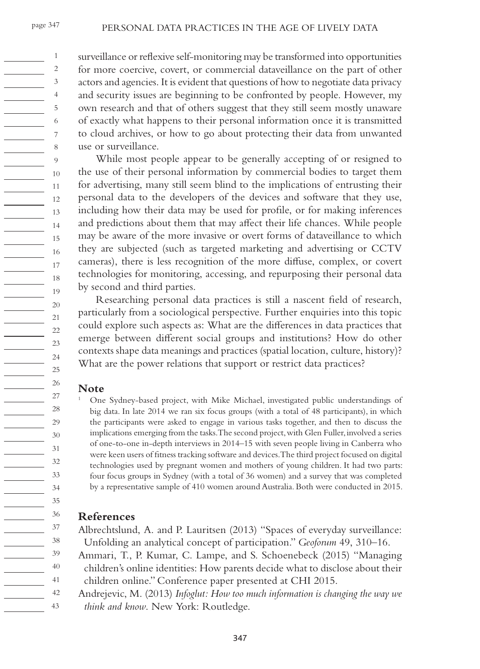#### page 347

surveillance or reflexive self-monitoring may be transformed into opportunities for more coercive, covert, or commercial dataveillance on the part of other actors and agencies. It is evident that questions of how to negotiate data privacy and security issues are beginning to be confronted by people. However, my own research and that of others suggest that they still seem mostly unaware of exactly what happens to their personal information once it is transmitted to cloud archives, or how to go about protecting their data from unwanted use or surveillance.

While most people appear to be generally accepting of or resigned to the use of their personal information by commercial bodies to target them for advertising, many still seem blind to the implications of entrusting their personal data to the developers of the devices and software that they use, including how their data may be used for profile, or for making inferences and predictions about them that may afect their life chances. While people may be aware of the more invasive or overt forms of dataveillance to which they are subjected (such as targeted marketing and advertising or CCTV cameras), there is less recognition of the more difuse, complex, or covert technologies for monitoring, accessing, and repurposing their personal data by second and third parties.

Researching personal data practices is still a nascent field of research, particularly from a sociological perspective. Further enquiries into this topic could explore such aspects as: What are the diferences in data practices that emerge between diferent social groups and institutions? How do other contexts shape data meanings and practices (spatial location, culture, history)? What are the power relations that support or restrict data practices?

## **Note**

1 One Sydney-based project, with Mike Michael, investigated public understandings of big data. In late 2014 we ran six focus groups (with a total of 48 participants), in which the participants were asked to engage in various tasks together, and then to discuss the implications emerging from the tasks. The second project, with Glen Fuller, involved a series of one-to-one in-depth interviews in 2014–15 with seven people living in Canberra who were keen users of ftness tracking software and devices. The third project focused on digital technologies used by pregnant women and mothers of young children. It had two parts: four focus groups in Sydney (with a total of 36 women) and a survey that was completed by a representative sample of 410 women around Australia. Both were conducted in 2015.

## **References**

Albrechtslund, A. and P. Lauritsen (2013) "Spaces of everyday surveillance: Unfolding an analytical concept of participation." *Geoforum* 49, 310–16.

Ammari, T., P. Kumar, C. Lampe, and S. Schoenebeck (2015) "Managing children's online identities: How parents decide what to disclose about their children online." Conference paper presented at CHI 2015.

Andrejevic, M. (2013) *Infoglut: How too much information is changing the way we think and know*. New York: Routledge.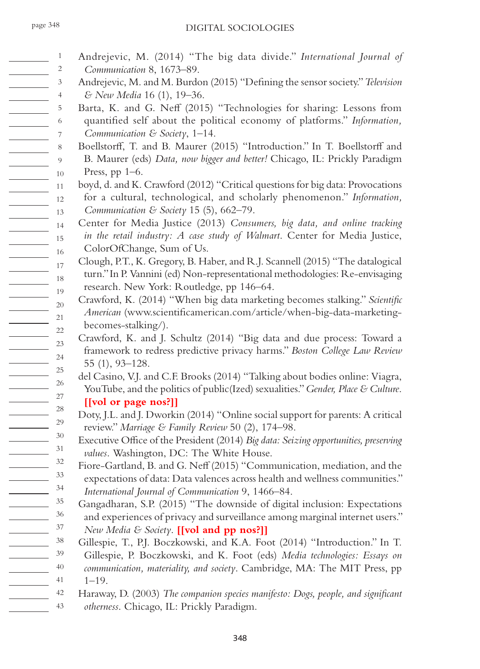#### DIGITAL SOCIOLOGIES

page 348

| $\mathbf{1}$ | Andrejevic, M. (2014) "The big data divide." International Journal of                |
|--------------|--------------------------------------------------------------------------------------|
| $\sqrt{2}$   | Communication 8, 1673-89.                                                            |
| 3            | Andrejevic, M. and M. Burdon (2015) "Defining the sensor society." Television        |
| 4            | & New Media 16 (1), 19-36.                                                           |
| 5            | Barta, K. and G. Neff (2015) "Technologies for sharing: Lessons from                 |
| 6            | quantified self about the political economy of platforms." Information,              |
| 7            | Communication & Society, 1-14.                                                       |
| 8            | Boellstorff, T. and B. Maurer (2015) "Introduction." In T. Boellstorff and           |
| 9            | B. Maurer (eds) Data, now bigger and better! Chicago, IL: Prickly Paradigm           |
| 10           | Press, pp $1-6$ .                                                                    |
| 11           | boyd, d. and K. Crawford (2012) "Critical questions for big data: Provocations       |
| 12           | for a cultural, technological, and scholarly phenomenon." Information,               |
| 13           | Communication & Society 15 (5), 662-79.                                              |
| 14           | Center for Media Justice (2013) Consumers, big data, and online tracking             |
| 15           | in the retail industry: A case study of Walmart. Center for Media Justice,           |
| 16           | ColorOfChange, Sum of Us.                                                            |
| 17           | Clough, P.T., K. Gregory, B. Haber, and R.J. Scannell (2015) "The datalogical        |
| 18           | turn." In P. Vannini (ed) Non-representational methodologies: Re-envisaging          |
| 19           | research. New York: Routledge, pp 146-64.                                            |
| 20           | Crawford, K. (2014) "When big data marketing becomes stalking." Scientific           |
| 21           | American (www.scientificamerican.com/article/when-big-data-marketing-                |
| 22           | becomes-stalking/).                                                                  |
| 23           | Crawford, K. and J. Schultz (2014) "Big data and due process: Toward a               |
| 24           | framework to redress predictive privacy harms." Boston College Law Review            |
| 25           | 55 (1), 93-128.                                                                      |
| 26           | del Casino, V.J. and C.F. Brooks (2014) "Talking about bodies online: Viagra,        |
| 27           | YouTube, and the politics of public(Ized) sexualities." Gender, Place & Culture.     |
| 28           | [[vol or page nos?]]                                                                 |
| 29           | Doty, J.L. and J. Dworkin (2014) "Online social support for parents: A critical      |
| 30           | review." Marriage & Family Review 50 (2), 174-98.                                    |
| 31           | Executive Office of the President (2014) Big data: Seizing opportunities, preserving |
| 32           | values. Washington, DC: The White House.                                             |
| 33           | Fiore-Gartland, B. and G. Neff (2015) "Communication, mediation, and the             |
| 34           | expectations of data: Data valences across health and wellness communities."         |
| 35           | International Journal of Communication 9, 1466-84.                                   |
| 36           | Gangadharan, S.P. (2015) "The downside of digital inclusion: Expectations            |
| $37\,$       | and experiences of privacy and surveillance among marginal internet users."          |
| 38           | New Media & Society. [[vol and pp nos?]]                                             |
| 39           | Gillespie, T., P.J. Boczkowski, and K.A. Foot (2014) "Introduction." In T.           |
|              | Gillespie, P. Boczkowski, and K. Foot (eds) Media technologies: Essays on            |
| 40           | communication, materiality, and society. Cambridge, MA: The MIT Press, pp            |
| 41           | $1 - 19$ .                                                                           |
| 42           | Haraway, D. (2003) The companion species manifesto: Dogs, people, and significant    |
| 43           | otherness. Chicago, IL: Prickly Paradigm.                                            |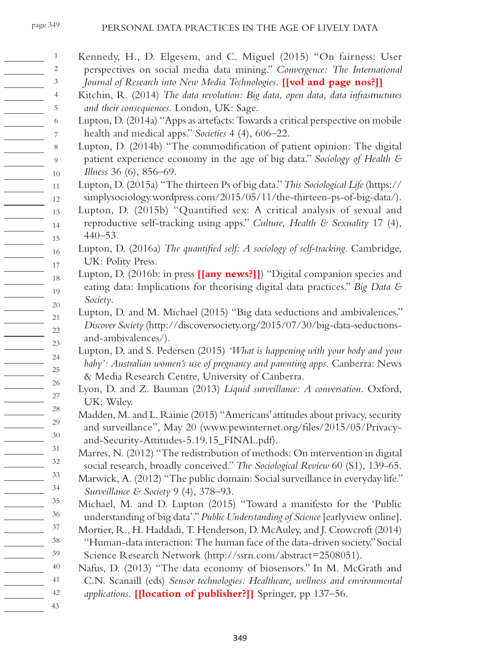1 Kennedy, H., D. Elgesem, and C. Miguel (2015) "On fairness: User 2 perspectives on social media data mining." *Convergence: The International Journal of Research into New Media Technologies*. **[[vol and page nos?]]** 3 Kitchin, R. (2014) *The data revolution: Big data, open data, data infrastructures*  4 *and their consequences*. London, UK: Sage. 5 Lupton, D. (2014a) "Apps as artefacts: Towards a critical perspective on mobile 6 health and medical apps." *Societies* 4 (4), 606–22. 7 Lupton, D. (2014b) "The commodification of patient opinion: The digital 8 patient experience economy in the age of big data." *Sociology of Health &*  9 *Illness* 36 (6), 856–69. 10 Lupton, D. (2015a) "The thirteen Ps of big data." *This Sociological Life* (https:// 11 simplysociology.wordpress.com/2015/05/11/the-thirteen-ps-of-big-data/). 12 Lupton, D. (2015b) "Quantified sex: A critical analysis of sexual and 13 reproductive self-tracking using apps." *Culture, Health & Sexuality* 17 (4), 14 440–53. 15 Lupton, D. (2016a) *The quantified self: A sociology of self-tracking*. Cambridge, 16 UK: Polity Press. 17 Lupton, D. (2016b: in press **[[any news?]]**) "Digital companion species and 18 eating data: Implications for theorising digital data practices." *Big Data &*  19 *Society*. 20 Lupton, D. and M. Michael (2015) "Big data seductions and ambivalences." 21 *Discover Society* (http://discoversociety.org/2015/07/30/big-data-seductions-22 and-ambivalences/). 23 Lupton, D. and S. Pedersen (2015) *'What is happening with your body and your*  24 *baby': Australian women's use of pregnancy and parenting apps*. Canberra: News 25 & Media Research Centre, University of Canberra. 26 Lyon, D. and Z. Bauman (2013) *Liquid surveillance: A conversation*. Oxford, 27 UK: Wiley. 28  $\overline{\phantom{a}}$ Madden, M. and L. Rainie (2015) "Americans' attitudes about privacy, security 29 and surveillance", May 20 (www.pewinternet.org/files/2015/05/Privacy-30 and-Security-Attitudes-5.19.15\_FINAL.pdf). 31 Marres, N. (2012) "The redistribution of methods: On intervention in digital 32 social research, broadly conceived." *The Sociological Review* 60 (S1), 139-65. 33 Marwick, A. (2012) "The public domain: Social surveillance in everyday life." 34 *Surveillance & Society* 9 (4), 378–93. 35 Michael, M. and D. Lupton (2015) "Toward a manifesto for the 'Public 36 understanding of big data'." *Public Understanding of Science* [earlyview online].  $\frac{37}{2}$ Mortier, R., H. Haddadi, T. Henderson, D. McAuley, and J. Crowcroft (2014) 38 "Human-data interaction: The human face of the data-driven society." Social Science Research Network (http://ssrn.com/abstract=2508051). 39 40 Nafus, D. (2013) "The data economy of biosensors." In M. McGrath and  $\frac{41}{2}$ C.N. Scanaill (eds) *Sensor technologies: Healthcare, wellness and environmental applications*. **[[location of publisher?]]** Springer, pp 137–56. 42 43